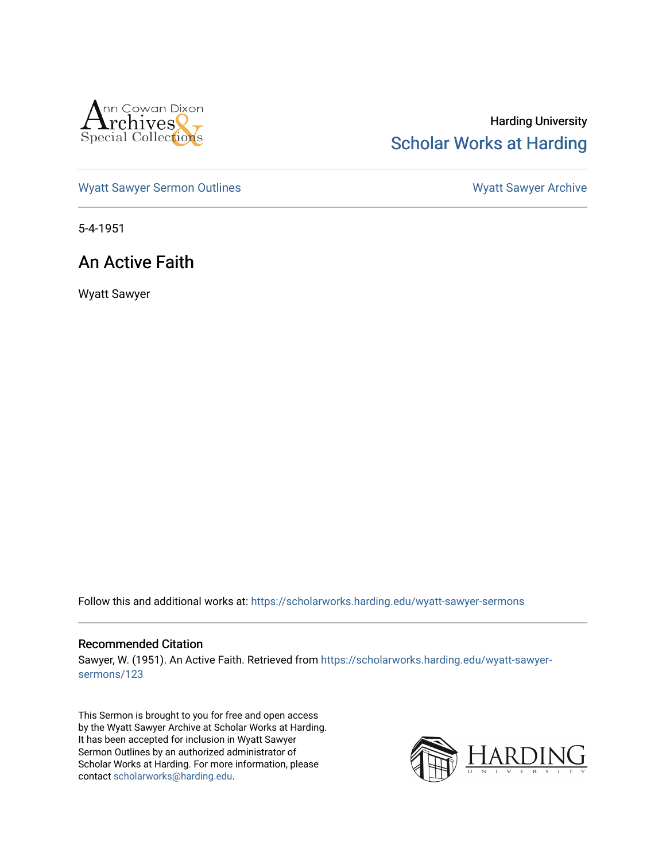

## Harding University [Scholar Works at Harding](https://scholarworks.harding.edu/)

[Wyatt Sawyer Sermon Outlines](https://scholarworks.harding.edu/wyatt-sawyer-sermons) Wyatt Sawyer Archive

5-4-1951

## An Active Faith

Wyatt Sawyer

Follow this and additional works at: [https://scholarworks.harding.edu/wyatt-sawyer-sermons](https://scholarworks.harding.edu/wyatt-sawyer-sermons?utm_source=scholarworks.harding.edu%2Fwyatt-sawyer-sermons%2F123&utm_medium=PDF&utm_campaign=PDFCoverPages)

## Recommended Citation

Sawyer, W. (1951). An Active Faith. Retrieved from [https://scholarworks.harding.edu/wyatt-sawyer](https://scholarworks.harding.edu/wyatt-sawyer-sermons/123?utm_source=scholarworks.harding.edu%2Fwyatt-sawyer-sermons%2F123&utm_medium=PDF&utm_campaign=PDFCoverPages)[sermons/123](https://scholarworks.harding.edu/wyatt-sawyer-sermons/123?utm_source=scholarworks.harding.edu%2Fwyatt-sawyer-sermons%2F123&utm_medium=PDF&utm_campaign=PDFCoverPages) 

This Sermon is brought to you for free and open access by the Wyatt Sawyer Archive at Scholar Works at Harding. It has been accepted for inclusion in Wyatt Sawyer Sermon Outlines by an authorized administrator of Scholar Works at Harding. For more information, please contact [scholarworks@harding.edu.](mailto:scholarworks@harding.edu)